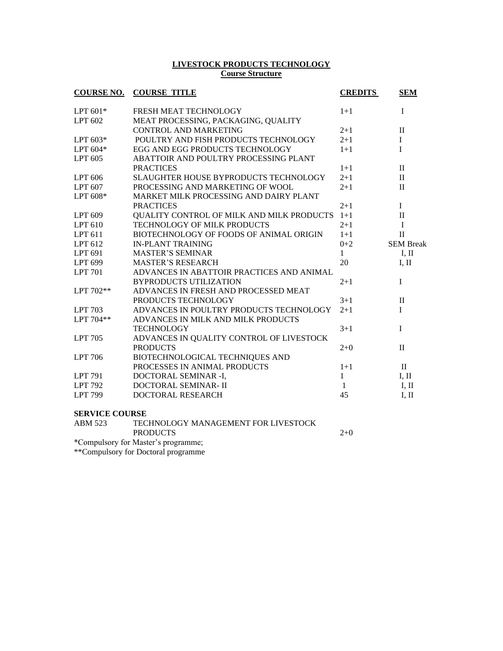#### **LIVESTOCK PRODUCTS TECHNOLOGY Course Structure**

| <b>COURSE NO.</b>     | <b>COURSE TITLE</b>                          | <b>CREDITS</b> | <b>SEM</b>       |  |
|-----------------------|----------------------------------------------|----------------|------------------|--|
| LPT $601*$            | FRESH MEAT TECHNOLOGY                        | $1 + 1$        | $\mathbf I$      |  |
| LPT 602               | MEAT PROCESSING, PACKAGING, QUALITY          |                |                  |  |
|                       | <b>CONTROL AND MARKETING</b>                 | $2+1$          | $\mathbf{I}$     |  |
| LPT 603*              | POULTRY AND FISH PRODUCTS TECHNOLOGY         | $2 + 1$        | I                |  |
| LPT 604*              | EGG AND EGG PRODUCTS TECHNOLOGY              | $1+1$          | $\overline{I}$   |  |
| LPT 605               | ABATTOIR AND POULTRY PROCESSING PLANT        |                |                  |  |
|                       | <b>PRACTICES</b>                             | $1+1$          | $\mathbf{I}$     |  |
| LPT 606               | <b>SLAUGHTER HOUSE BYPRODUCTS TECHNOLOGY</b> | $2 + 1$        | $\mathbf{I}$     |  |
| LPT 607               | PROCESSING AND MARKETING OF WOOL             | $2 + 1$        | $\mathbf{I}$     |  |
| LPT 608*              | MARKET MILK PROCESSING AND DAIRY PLANT       |                |                  |  |
|                       | <b>PRACTICES</b>                             | $2+1$          | I                |  |
| LPT 609               | QUALITY CONTROL OF MILK AND MILK PRODUCTS    | $1 + 1$        | $\mathbf{I}$     |  |
| LPT 610               | TECHNOLOGY OF MILK PRODUCTS                  | $2+1$          | $\mathbf I$      |  |
| LPT 611               | BIOTECHNOLOGY OF FOODS OF ANIMAL ORIGIN      | $1+1$          | $\mathbf{I}$     |  |
| LPT 612               | <b>IN-PLANT TRAINING</b>                     | $0 + 2$        | <b>SEM Break</b> |  |
| LPT 691               | <b>MASTER'S SEMINAR</b>                      | 1              | I, II            |  |
| LPT 699               | <b>MASTER'S RESEARCH</b>                     | 20             | I, II            |  |
| <b>LPT 701</b>        | ADVANCES IN ABATTOIR PRACTICES AND ANIMAL    |                |                  |  |
|                       | <b>BYPRODUCTS UTILIZATION</b>                | $2+1$          | I                |  |
| LPT 702**             | ADVANCES IN FRESH AND PROCESSED MEAT         |                |                  |  |
|                       | PRODUCTS TECHNOLOGY                          | $3 + 1$        | $\mathbf{I}$     |  |
| <b>LPT 703</b>        | ADVANCES IN POULTRY PRODUCTS TECHNOLOGY      | $2 + 1$        | I                |  |
| $LPT 704**$           | ADVANCES IN MILK AND MILK PRODUCTS           |                |                  |  |
|                       | <b>TECHNOLOGY</b>                            | $3 + 1$        | I                |  |
| <b>LPT</b> 705        | ADVANCES IN QUALITY CONTROL OF LIVESTOCK     |                |                  |  |
|                       | <b>PRODUCTS</b>                              | $2+0$          | $\mathbf{I}$     |  |
| <b>LPT</b> 706        | BIOTECHNOLOGICAL TECHNIQUES AND              |                |                  |  |
|                       | PROCESSES IN ANIMAL PRODUCTS                 | $1+1$          | $\mathbf{I}$     |  |
| <b>LPT 791</b>        | DOCTORAL SEMINAR -I,                         | $\mathbf{1}$   | I, II            |  |
| <b>LPT 792</b>        | DOCTORAL SEMINAR-II                          | 1              | I, II            |  |
| <b>LPT 799</b>        | DOCTORAL RESEARCH                            | 45             | I, II            |  |
| <b>SERVICE COURSE</b> |                                              |                |                  |  |

| ABM 523 | TECHNOLOGY MANAGEMENT FOR LIVESTOCK |       |
|---------|-------------------------------------|-------|
|         | <b>PRODUCTS</b>                     | $2+0$ |
|         | *Compulsory for Master's programme; |       |
|         | **Compulsory for Doctoral programme |       |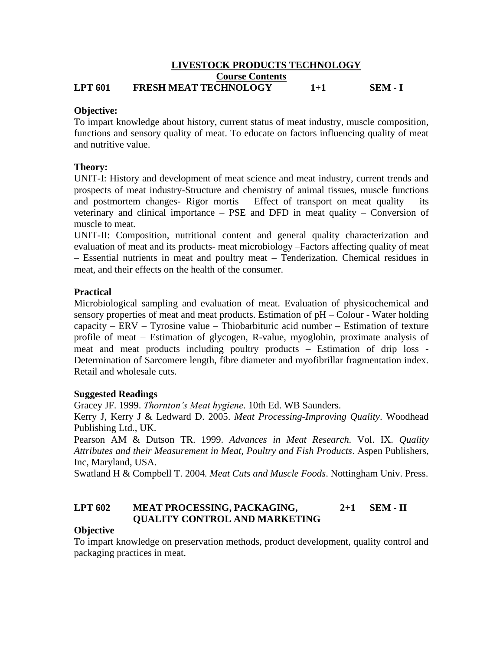#### **LIVESTOCK PRODUCTS TECHNOLOGY Course Contents LPT 601 FRESH MEAT TECHNOLOGY 1+1 SEM - I**

### **Objective:**

To impart knowledge about history, current status of meat industry, muscle composition, functions and sensory quality of meat. To educate on factors influencing quality of meat and nutritive value.

### **Theory:**

UNIT-I: History and development of meat science and meat industry, current trends and prospects of meat industry-Structure and chemistry of animal tissues, muscle functions and postmortem changes- Rigor mortis  $-$  Effect of transport on meat quality  $-$  its veterinary and clinical importance – PSE and DFD in meat quality – Conversion of muscle to meat.

UNIT-II: Composition, nutritional content and general quality characterization and evaluation of meat and its products- meat microbiology –Factors affecting quality of meat – Essential nutrients in meat and poultry meat – Tenderization. Chemical residues in meat, and their effects on the health of the consumer.

### **Practical**

Microbiological sampling and evaluation of meat. Evaluation of physicochemical and sensory properties of meat and meat products. Estimation of  $pH -$ Colour - Water holding capacity – ERV – Tyrosine value – Thiobarbituric acid number – Estimation of texture profile of meat – Estimation of glycogen, R-value, myoglobin, proximate analysis of meat and meat products including poultry products – Estimation of drip loss - Determination of Sarcomere length, fibre diameter and myofibrillar fragmentation index. Retail and wholesale cuts.

#### **Suggested Readings**

Gracey JF. 1999. *Thornton's Meat hygiene*. 10th Ed. WB Saunders.

Kerry J, Kerry J & Ledward D. 2005. *Meat Processing-Improving Quality*. Woodhead Publishing Ltd., UK.

Pearson AM & Dutson TR. 1999. *Advances in Meat Research.* Vol. IX. *Quality Attributes and their Measurement in Meat, Poultry and Fish Products*. Aspen Publishers, Inc, Maryland, USA.

Swatland H & Compbell T. 2004*. Meat Cuts and Muscle Foods*. Nottingham Univ. Press.

### **LPT 602 MEAT PROCESSING, PACKAGING, 2+1 SEM - II QUALITY CONTROL AND MARKETING**

#### **Objective**

To impart knowledge on preservation methods, product development, quality control and packaging practices in meat.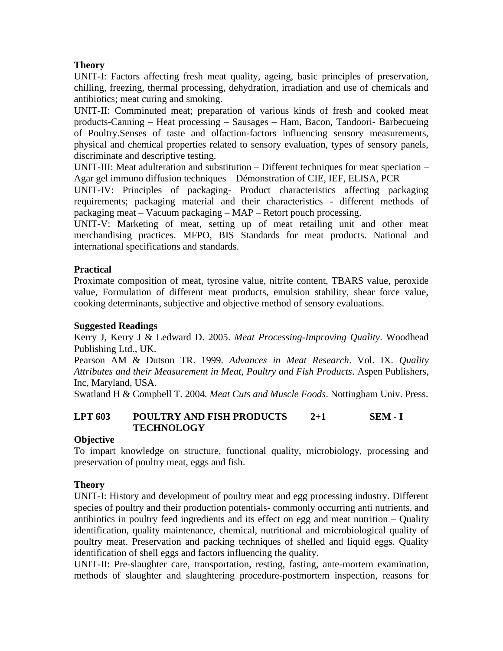## **Theory**

UNIT-I: Factors affecting fresh meat quality, ageing, basic principles of preservation, chilling, freezing, thermal processing, dehydration, irradiation and use of chemicals and antibiotics; meat curing and smoking.

UNIT-II: Comminuted meat; preparation of various kinds of fresh and cooked meat products-Canning – Heat processing – Sausages – Ham, Bacon, Tandoori- Barbecueing of Poultry.Senses of taste and olfaction-factors influencing sensory measurements, physical and chemical properties related to sensory evaluation, types of sensory panels, discriminate and descriptive testing.

UNIT-III: Meat adulteration and substitution – Different techniques for meat speciation – Agar gel immuno diffusion techniques – Démonstration of CIE, IEF, ELISA, PCR

UNIT-IV: Principles of packaging- Product characteristics affecting packaging requirements; packaging material and their characteristics - different methods of packaging meat – Vacuum packaging – MAP – Retort pouch processing.

UNIT-V: Marketing of meat, setting up of meat retailing unit and other meat merchandising practices. MFPO, BIS Standards for meat products. National and international specifications and standards.

## **Practical**

Proximate composition of meat, tyrosine value, nitrite content, TBARS value, peroxide value, Formulation of different meat products, emulsion stability, shear force value, cooking determinants, subjective and objective method of sensory evaluations.

### **Suggested Readings**

Kerry J, Kerry J & Ledward D. 2005. *Meat Processing-Improving Quality*. Woodhead Publishing Ltd., UK.

Pearson AM & Dutson TR. 1999. *Advances in Meat Research*. Vol. IX. *Quality Attributes and their Measurement in Meat, Poultry and Fish Products*. Aspen Publishers, Inc, Maryland, USA.

Swatland H & Compbell T. 2004*. Meat Cuts and Muscle Foods*. Nottingham Univ. Press.

### **LPT 603 POULTRY AND FISH PRODUCTS 2+1 SEM - I TECHNOLOGY**

### **Objective**

To impart knowledge on structure, functional quality, microbiology, processing and preservation of poultry meat, eggs and fish.

### **Theory**

UNIT-I: History and development of poultry meat and egg processing industry. Different species of poultry and their production potentials- commonly occurring anti nutrients, and antibiotics in poultry feed ingredients and its effect on egg and meat nutrition – Quality identification, quality maintenance, chemical, nutritional and microbiological quality of poultry meat. Preservation and packing techniques of shelled and liquid eggs. Quality identification of shell eggs and factors influencing the quality.

UNIT-II: Pre-slaughter care, transportation, resting, fasting, ante-mortem examination, methods of slaughter and slaughtering procedure-postmortem inspection, reasons for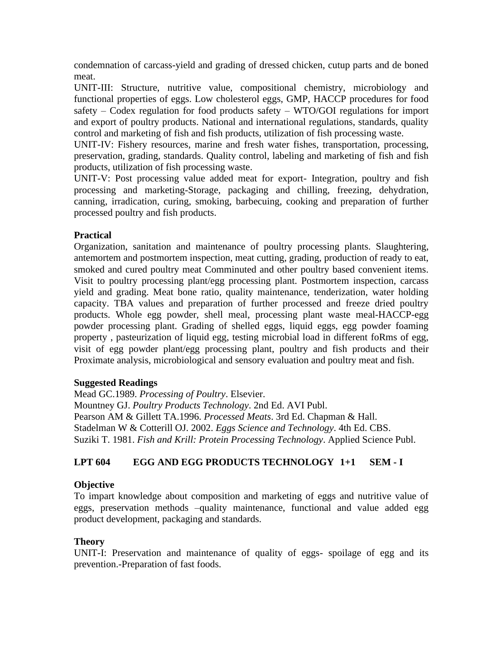condemnation of carcass-yield and grading of dressed chicken, cutup parts and de boned meat.

UNIT-III: Structure, nutritive value, compositional chemistry, microbiology and functional properties of eggs. Low cholesterol eggs, GMP, HACCP procedures for food safety – Codex regulation for food products safety – WTO/GOI regulations for import and export of poultry products. National and international regulations, standards, quality control and marketing of fish and fish products, utilization of fish processing waste.

UNIT-IV: Fishery resources, marine and fresh water fishes, transportation, processing, preservation, grading, standards. Quality control, labeling and marketing of fish and fish products, utilization of fish processing waste.

UNIT-V: Post processing value added meat for export- Integration, poultry and fish processing and marketing-Storage, packaging and chilling, freezing, dehydration, canning, irradication, curing, smoking, barbecuing, cooking and preparation of further processed poultry and fish products.

### **Practical**

Organization, sanitation and maintenance of poultry processing plants. Slaughtering, antemortem and postmortem inspection, meat cutting, grading, production of ready to eat, smoked and cured poultry meat Comminuted and other poultry based convenient items. Visit to poultry processing plant/egg processing plant. Postmortem inspection, carcass yield and grading. Meat bone ratio, quality maintenance, tenderization, water holding capacity. TBA values and preparation of further processed and freeze dried poultry products. Whole egg powder, shell meal, processing plant waste meal-HACCP-egg powder processing plant. Grading of shelled eggs, liquid eggs, egg powder foaming property , pasteurization of liquid egg, testing microbial load in different foRms of egg, visit of egg powder plant/egg processing plant, poultry and fish products and their Proximate analysis, microbiological and sensory evaluation and poultry meat and fish.

### **Suggested Readings**

Mead GC.1989. *Processing of Poultry*. Elsevier. Mountney GJ. *Poultry Products Technology*. 2nd Ed. AVI Publ. Pearson AM & Gillett TA.1996. *Processed Meats*. 3rd Ed. Chapman & Hall. Stadelman W & Cotterill OJ. 2002. *Eggs Science and Technology*. 4th Ed. CBS. Suziki T. 1981. *Fish and Krill: Protein Processing Technology*. Applied Science Publ.

# **LPT 604 EGG AND EGG PRODUCTS TECHNOLOGY 1+1 SEM - I**

### **Objective**

To impart knowledge about composition and marketing of eggs and nutritive value of eggs, preservation methods –quality maintenance, functional and value added egg product development, packaging and standards.

### **Theory**

UNIT-I: Preservation and maintenance of quality of eggs- spoilage of egg and its prevention.-Preparation of fast foods.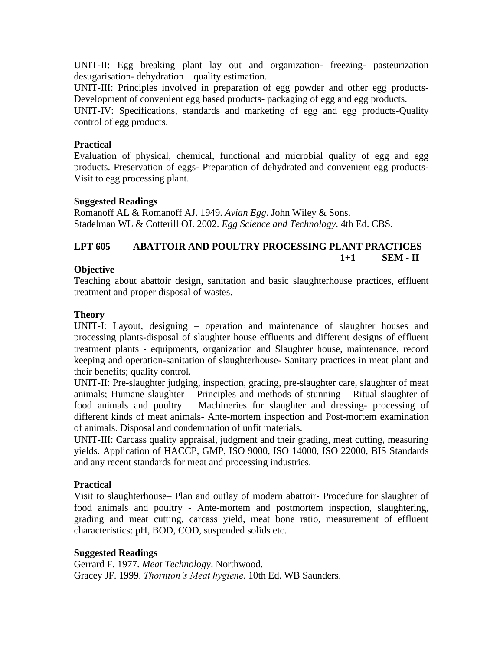UNIT-II: Egg breaking plant lay out and organization- freezing- pasteurization desugarisation- dehydration – quality estimation.

UNIT-III: Principles involved in preparation of egg powder and other egg products-Development of convenient egg based products- packaging of egg and egg products.

UNIT-IV: Specifications, standards and marketing of egg and egg products-Quality control of egg products.

#### **Practical**

Evaluation of physical, chemical, functional and microbial quality of egg and egg products. Preservation of eggs- Preparation of dehydrated and convenient egg products-Visit to egg processing plant.

#### **Suggested Readings**

Romanoff AL & Romanoff AJ. 1949. *Avian Egg*. John Wiley & Sons. Stadelman WL & Cotterill OJ. 2002. *Egg Science and Technology*. 4th Ed. CBS.

#### **LPT 605 ABATTOIR AND POULTRY PROCESSING PLANT PRACTICES 1+1 SEM - II**

#### **Objective**

Teaching about abattoir design, sanitation and basic slaughterhouse practices, effluent treatment and proper disposal of wastes.

#### **Theory**

UNIT-I: Layout, designing – operation and maintenance of slaughter houses and processing plants-disposal of slaughter house effluents and different designs of effluent treatment plants - equipments, organization and Slaughter house, maintenance, record keeping and operation-sanitation of slaughterhouse- Sanitary practices in meat plant and their benefits; quality control.

UNIT-II: Pre-slaughter judging, inspection, grading, pre-slaughter care, slaughter of meat animals; Humane slaughter – Principles and methods of stunning – Ritual slaughter of food animals and poultry – Machineries for slaughter and dressing- processing of different kinds of meat animals**-** Ante-mortem inspection and Post-mortem examination of animals. Disposal and condemnation of unfit materials.

UNIT-III: Carcass quality appraisal, judgment and their grading, meat cutting, measuring yields. Application of HACCP, GMP, ISO 9000, ISO 14000, ISO 22000, BIS Standards and any recent standards for meat and processing industries.

#### **Practical**

Visit to slaughterhouse– Plan and outlay of modern abattoir- Procedure for slaughter of food animals and poultry - Ante-mortem and postmortem inspection, slaughtering, grading and meat cutting, carcass yield, meat bone ratio, measurement of effluent characteristics: pH, BOD, COD, suspended solids etc.

#### **Suggested Readings**

Gerrard F. 1977. *Meat Technology*. Northwood. Gracey JF. 1999. *Thornton's Meat hygiene*. 10th Ed. WB Saunders.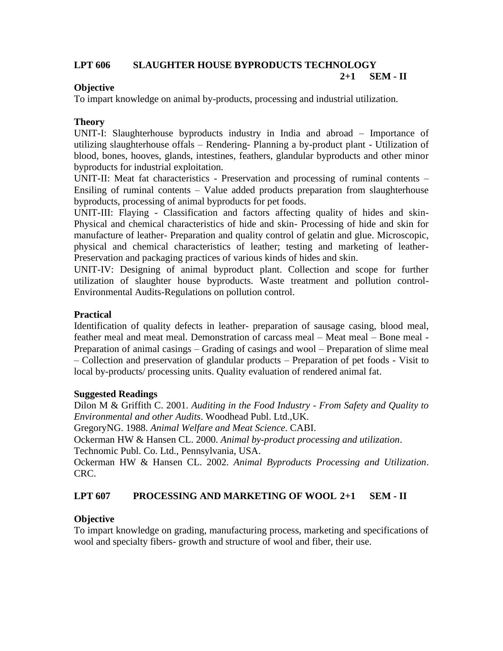# **LPT 606 SLAUGHTER HOUSE BYPRODUCTS TECHNOLOGY**

**2+1 SEM - II**

### **Objective**

To impart knowledge on animal by-products, processing and industrial utilization.

## **Theory**

UNIT-I: Slaughterhouse byproducts industry in India and abroad – Importance of utilizing slaughterhouse offals – Rendering- Planning a by-product plant - Utilization of blood, bones, hooves, glands, intestines, feathers, glandular byproducts and other minor byproducts for industrial exploitation.

UNIT-II: Meat fat characteristics - Preservation and processing of ruminal contents – Ensiling of ruminal contents – Value added products preparation from slaughterhouse byproducts, processing of animal byproducts for pet foods.

UNIT-III: Flaying - Classification and factors affecting quality of hides and skin-Physical and chemical characteristics of hide and skin- Processing of hide and skin for manufacture of leather- Preparation and quality control of gelatin and glue. Microscopic, physical and chemical characteristics of leather; testing and marketing of leather-Preservation and packaging practices of various kinds of hides and skin.

UNIT-IV: Designing of animal byproduct plant. Collection and scope for further utilization of slaughter house byproducts. Waste treatment and pollution control-Environmental Audits-Regulations on pollution control.

## **Practical**

Identification of quality defects in leather- preparation of sausage casing, blood meal, feather meal and meat meal. Demonstration of carcass meal – Meat meal – Bone meal - Preparation of animal casings – Grading of casings and wool – Preparation of slime meal – Collection and preservation of glandular products – Preparation of pet foods - Visit to local by-products/ processing units. Quality evaluation of rendered animal fat.

### **Suggested Readings**

Dilon M & Griffith C. 2001. *Auditing in the Food Industry* - *From Safety and Quality to Environmental and other Audits*. Woodhead Publ. Ltd.,UK.

GregoryNG. 1988. *Animal Welfare and Meat Science*. CABI.

Ockerman HW & Hansen CL. 2000. *Animal by-product processing and utilization*.

Technomic Publ. Co. Ltd., Pennsylvania, USA.

Ockerman HW & Hansen CL. 2002. *Animal Byproducts Processing and Utilization*. CRC.

# **LPT 607 PROCESSING AND MARKETING OF WOOL 2+1 SEM - II**

### **Objective**

To impart knowledge on grading, manufacturing process, marketing and specifications of wool and specialty fibers- growth and structure of wool and fiber, their use.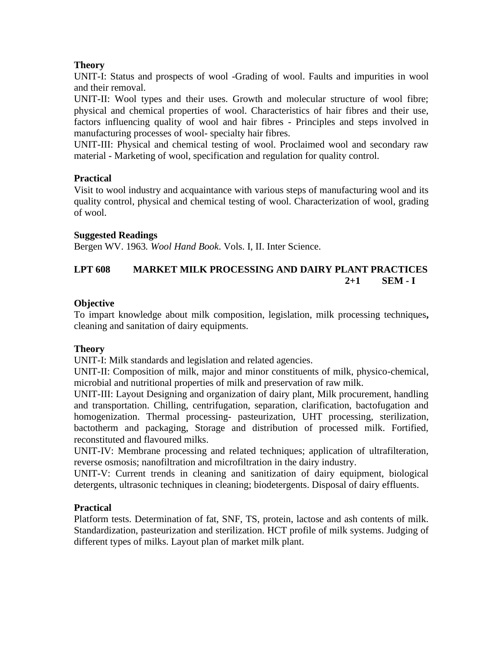## **Theory**

UNIT-I: Status and prospects of wool -Grading of wool. Faults and impurities in wool and their removal.

UNIT-II: Wool types and their uses. Growth and molecular structure of wool fibre; physical and chemical properties of wool. Characteristics of hair fibres and their use, factors influencing quality of wool and hair fibres - Principles and steps involved in manufacturing processes of wool- specialty hair fibres.

UNIT-III: Physical and chemical testing of wool. Proclaimed wool and secondary raw material - Marketing of wool, specification and regulation for quality control.

### **Practical**

Visit to wool industry and acquaintance with various steps of manufacturing wool and its quality control, physical and chemical testing of wool. Characterization of wool, grading of wool.

### **Suggested Readings**

Bergen WV. 1963*. Wool Hand Book*. Vols. I, II. Inter Science.

# **LPT 608 MARKET MILK PROCESSING AND DAIRY PLANT PRACTICES 2+1 SEM - I**

### **Objective**

To impart knowledge about milk composition, legislation, milk processing techniques**,**  cleaning and sanitation of dairy equipments.

### **Theory**

UNIT-I: Milk standards and legislation and related agencies.

UNIT-II: Composition of milk, major and minor constituents of milk, physico-chemical, microbial and nutritional properties of milk and preservation of raw milk.

UNIT-III: Layout Designing and organization of dairy plant, Milk procurement, handling and transportation. Chilling, centrifugation, separation, clarification, bactofugation and homogenization. Thermal processing- pasteurization, UHT processing, sterilization, bactotherm and packaging, Storage and distribution of processed milk. Fortified, reconstituted and flavoured milks.

UNIT-IV: Membrane processing and related techniques; application of ultrafilteration, reverse osmosis; nanofiltration and microfiltration in the dairy industry.

UNIT-V: Current trends in cleaning and sanitization of dairy equipment, biological detergents, ultrasonic techniques in cleaning; biodetergents. Disposal of dairy effluents.

### **Practical**

Platform tests. Determination of fat, SNF, TS, protein, lactose and ash contents of milk. Standardization, pasteurization and sterilization. HCT profile of milk systems. Judging of different types of milks. Layout plan of market milk plant.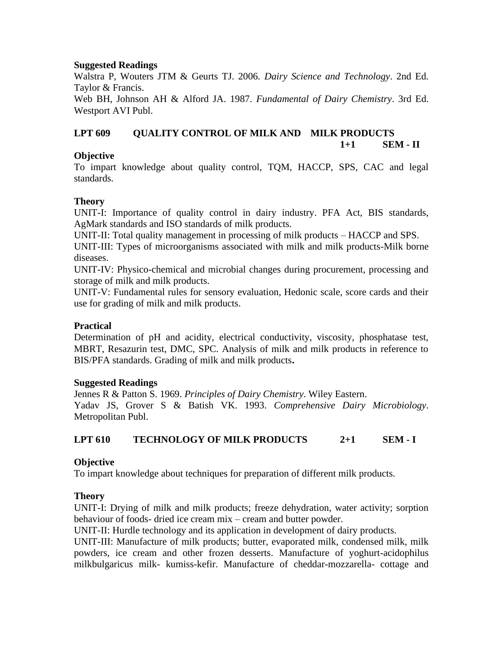### **Suggested Readings**

Walstra P, Wouters JTM & Geurts TJ. 2006*. Dairy Science and Technology*. 2nd Ed. Taylor & Francis.

Web BH, Johnson AH & Alford JA. 1987. *Fundamental of Dairy Chemistry*. 3rd Ed. Westport AVI Publ.

### **LPT 609 QUALITY CONTROL OF MILK AND MILK PRODUCTS 1+1 SEM - II**

### **Objective**

To impart knowledge about quality control, TQM, HACCP, SPS, CAC and legal standards.

### **Theory**

UNIT-I: Importance of quality control in dairy industry. PFA Act, BIS standards, AgMark standards and ISO standards of milk products.

UNIT-II: Total quality management in processing of milk products – HACCP and SPS. UNIT-III: Types of microorganisms associated with milk and milk products-Milk borne diseases.

UNIT-IV: Physico-chemical and microbial changes during procurement, processing and storage of milk and milk products.

UNIT-V: Fundamental rules for sensory evaluation, Hedonic scale, score cards and their use for grading of milk and milk products.

### **Practical**

Determination of pH and acidity, electrical conductivity, viscosity, phosphatase test, MBRT, Resazurin test, DMC, SPC. Analysis of milk and milk products in reference to BIS/PFA standards. Grading of milk and milk products**.**

#### **Suggested Readings**

Jennes R & Patton S. 1969. *Principles of Dairy Chemistry*. Wiley Eastern. Yadav JS, Grover S & Batish VK. 1993. *Comprehensive Dairy Microbiology*. Metropolitan Publ.

### **LPT 610 TECHNOLOGY OF MILK PRODUCTS 2+1 SEM - I**

#### **Objective**

To impart knowledge about techniques for preparation of different milk products.

#### **Theory**

UNIT-I: Drying of milk and milk products; freeze dehydration, water activity; sorption behaviour of foods- dried ice cream mix – cream and butter powder.

UNIT-II: Hurdle technology and its application in development of dairy products.

UNIT-III: Manufacture of milk products; butter, evaporated milk, condensed milk, milk powders, ice cream and other frozen desserts. Manufacture of yoghurt-acidophilus milkbulgaricus milk- kumiss-kefir. Manufacture of cheddar-mozzarella- cottage and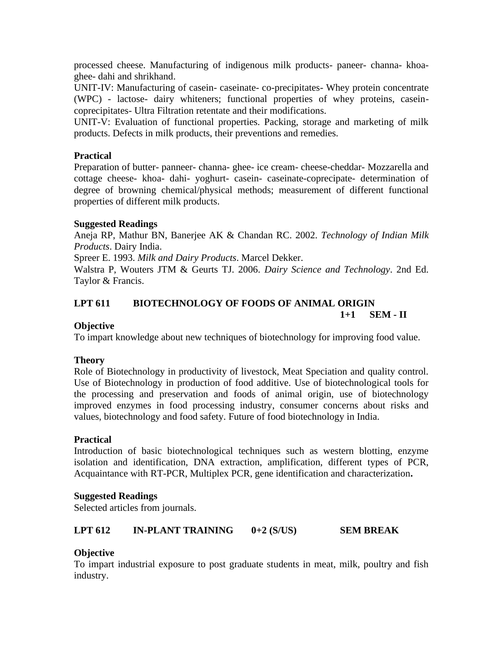processed cheese. Manufacturing of indigenous milk products- paneer- channa- khoaghee- dahi and shrikhand.

UNIT-IV: Manufacturing of casein- caseinate- co-precipitates- Whey protein concentrate (WPC) - lactose- dairy whiteners; functional properties of whey proteins, caseincoprecipitates- Ultra Filtration retentate and their modifications.

UNIT-V: Evaluation of functional properties. Packing, storage and marketing of milk products. Defects in milk products, their preventions and remedies.

### **Practical**

Preparation of butter- panneer- channa- ghee- ice cream- cheese-cheddar- Mozzarella and cottage cheese- khoa- dahi- yoghurt- casein- caseinate-coprecipate- determination of degree of browning chemical/physical methods; measurement of different functional properties of different milk products.

#### **Suggested Readings**

Aneja RP, Mathur BN, Banerjee AK & Chandan RC. 2002. *Technology of Indian Milk Products*. Dairy India.

Spreer E. 1993. *Milk and Dairy Products*. Marcel Dekker.

Walstra P, Wouters JTM & Geurts TJ. 2006. *Dairy Science and Technology*. 2nd Ed. Taylor & Francis.

# **LPT 611 BIOTECHNOLOGY OF FOODS OF ANIMAL ORIGIN**

**1+1 SEM - II**

### **Objective**

To impart knowledge about new techniques of biotechnology for improving food value.

#### **Theory**

Role of Biotechnology in productivity of livestock, Meat Speciation and quality control. Use of Biotechnology in production of food additive. Use of biotechnological tools for the processing and preservation and foods of animal origin, use of biotechnology improved enzymes in food processing industry, consumer concerns about risks and values, biotechnology and food safety. Future of food biotechnology in India.

#### **Practical**

Introduction of basic biotechnological techniques such as western blotting, enzyme isolation and identification, DNA extraction, amplification, different types of PCR, Acquaintance with RT-PCR, Multiplex PCR, gene identification and characterization**.**

#### **Suggested Readings**

Selected articles from journals.

#### **LPT 612 IN-PLANT TRAINING 0+2 (S/US) SEM BREAK**

### **Objective**

To impart industrial exposure to post graduate students in meat, milk, poultry and fish industry.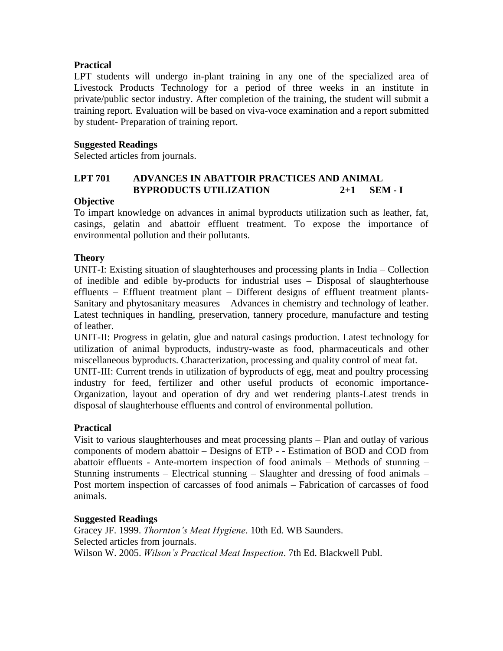### **Practical**

LPT students will undergo in-plant training in any one of the specialized area of Livestock Products Technology for a period of three weeks in an institute in private/public sector industry. After completion of the training, the student will submit a training report. Evaluation will be based on viva-voce examination and a report submitted by student- Preparation of training report.

### **Suggested Readings**

Selected articles from journals.

### **LPT 701 ADVANCES IN ABATTOIR PRACTICES AND ANIMAL BYPRODUCTS UTILIZATION 2+1 SEM - I**

### **Objective**

To impart knowledge on advances in animal byproducts utilization such as leather, fat, casings, gelatin and abattoir effluent treatment. To expose the importance of environmental pollution and their pollutants.

### **Theory**

UNIT-I: Existing situation of slaughterhouses and processing plants in India – Collection of inedible and edible by-products for industrial uses – Disposal of slaughterhouse effluents – Effluent treatment plant – Different designs of effluent treatment plants-Sanitary and phytosanitary measures – Advances in chemistry and technology of leather. Latest techniques in handling, preservation, tannery procedure, manufacture and testing of leather.

UNIT-II: Progress in gelatin, glue and natural casings production. Latest technology for utilization of animal byproducts, industry-waste as food, pharmaceuticals and other miscellaneous byproducts. Characterization, processing and quality control of meat fat.

UNIT-III: Current trends in utilization of byproducts of egg, meat and poultry processing industry for feed, fertilizer and other useful products of economic importance-Organization, layout and operation of dry and wet rendering plants-Latest trends in disposal of slaughterhouse effluents and control of environmental pollution.

#### **Practical**

Visit to various slaughterhouses and meat processing plants – Plan and outlay of various components of modern abattoir – Designs of ETP - - Estimation of BOD and COD from abattoir effluents - Ante-mortem inspection of food animals – Methods of stunning – Stunning instruments – Electrical stunning – Slaughter and dressing of food animals – Post mortem inspection of carcasses of food animals – Fabrication of carcasses of food animals.

#### **Suggested Readings**

Gracey JF. 1999. *Thornton's Meat Hygiene*. 10th Ed. WB Saunders. Selected articles from journals. Wilson W. 2005. *Wilson's Practical Meat Inspection*. 7th Ed. Blackwell Publ.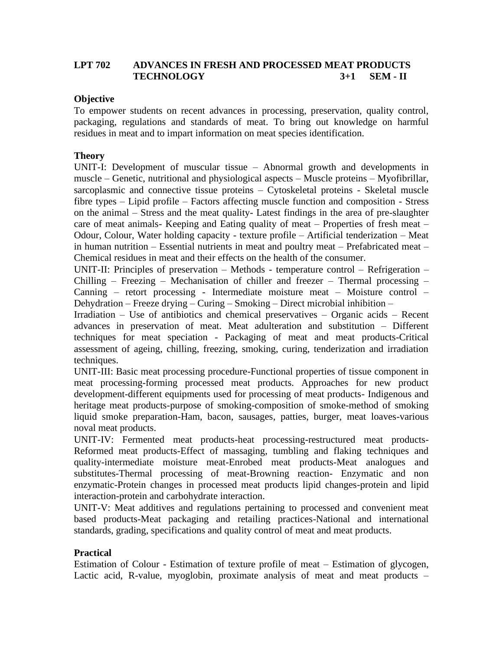### **LPT 702 ADVANCES IN FRESH AND PROCESSED MEAT PRODUCTS TECHNOLOGY 3+1 SEM - II**

### **Objective**

To empower students on recent advances in processing, preservation, quality control, packaging, regulations and standards of meat. To bring out knowledge on harmful residues in meat and to impart information on meat species identification.

### **Theory**

UNIT-I: Development of muscular tissue – Abnormal growth and developments in muscle – Genetic, nutritional and physiological aspects – Muscle proteins – Myofibrillar, sarcoplasmic and connective tissue proteins – Cytoskeletal proteins - Skeletal muscle fibre types – Lipid profile – Factors affecting muscle function and composition - Stress on the animal – Stress and the meat quality- Latest findings in the area of pre-slaughter care of meat animals- Keeping and Eating quality of meat – Properties of fresh meat – Odour, Colour, Water holding capacity - texture profile – Artificial tenderization – Meat in human nutrition – Essential nutrients in meat and poultry meat – Prefabricated meat – Chemical residues in meat and their effects on the health of the consumer.

UNIT-II: Principles of preservation – Methods - temperature control – Refrigeration – Chilling – Freezing – Mechanisation of chiller and freezer – Thermal processing – Canning – retort processing - Intermediate moisture meat – Moisture control – Dehydration – Freeze drying – Curing – Smoking – Direct microbial inhibition –

Irradiation – Use of antibiotics and chemical preservatives – Organic acids – Recent advances in preservation of meat. Meat adulteration and substitution – Different techniques for meat speciation - Packaging of meat and meat products-Critical assessment of ageing, chilling, freezing, smoking, curing, tenderization and irradiation techniques.

UNIT-III: Basic meat processing procedure-Functional properties of tissue component in meat processing-forming processed meat products. Approaches for new product development-different equipments used for processing of meat products- Indigenous and heritage meat products-purpose of smoking-composition of smoke-method of smoking liquid smoke preparation-Ham, bacon, sausages, patties, burger, meat loaves-various noval meat products.

UNIT-IV: Fermented meat products-heat processing-restructured meat products-Reformed meat products-Effect of massaging, tumbling and flaking techniques and quality-intermediate moisture meat-Enrobed meat products-Meat analogues and substitutes-Thermal processing of meat-Browning reaction- Enzymatic and non enzymatic-Protein changes in processed meat products lipid changes-protein and lipid interaction-protein and carbohydrate interaction.

UNIT-V: Meat additives and regulations pertaining to processed and convenient meat based products-Meat packaging and retailing practices-National and international standards, grading, specifications and quality control of meat and meat products.

#### **Practical**

Estimation of Colour - Estimation of texture profile of meat – Estimation of glycogen, Lactic acid, R-value, myoglobin, proximate analysis of meat and meat products –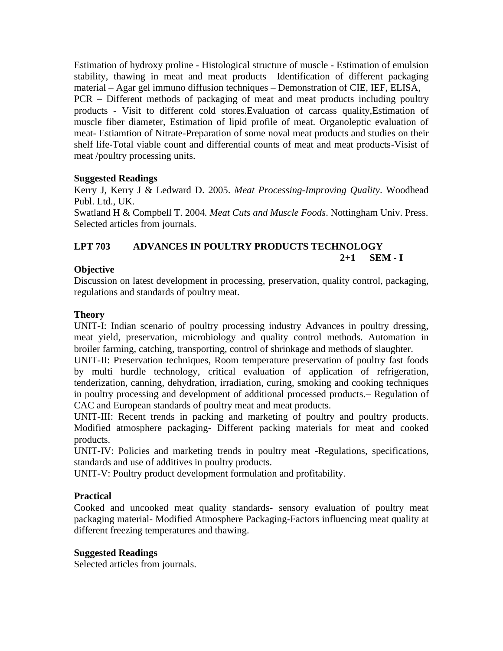Estimation of hydroxy proline - Histological structure of muscle - Estimation of emulsion stability, thawing in meat and meat products– Identification of different packaging material – Agar gel immuno diffusion techniques – Demonstration of CIE, IEF, ELISA, PCR – Different methods of packaging of meat and meat products including poultry products - Visit to different cold stores.Evaluation of carcass quality,Estimation of muscle fiber diameter, Estimation of lipid profile of meat. Organoleptic evaluation of meat- Estiamtion of Nitrate-Preparation of some noval meat products and studies on their shelf life-Total viable count and differential counts of meat and meat products-Visist of meat /poultry processing units.

## **Suggested Readings**

Kerry J, Kerry J & Ledward D. 2005. *Meat Processing-Improving Quality*. Woodhead Publ. Ltd., UK.

Swatland H & Compbell T. 2004*. Meat Cuts and Muscle Foods*. Nottingham Univ. Press. Selected articles from journals.

#### **LPT 703 ADVANCES IN POULTRY PRODUCTS TECHNOLOGY 2+1 SEM - I**

## **Objective**

Discussion on latest development in processing, preservation, quality control, packaging, regulations and standards of poultry meat.

### **Theory**

UNIT-I: Indian scenario of poultry processing industry Advances in poultry dressing, meat yield, preservation, microbiology and quality control methods. Automation in broiler farming, catching, transporting, control of shrinkage and methods of slaughter.

UNIT-II: Preservation techniques, Room temperature preservation of poultry fast foods by multi hurdle technology, critical evaluation of application of refrigeration, tenderization, canning, dehydration, irradiation, curing, smoking and cooking techniques in poultry processing and development of additional processed products.– Regulation of CAC and European standards of poultry meat and meat products.

UNIT-III: Recent trends in packing and marketing of poultry and poultry products. Modified atmosphere packaging- Different packing materials for meat and cooked products.

UNIT-IV: Policies and marketing trends in poultry meat -Regulations, specifications, standards and use of additives in poultry products.

UNIT-V: Poultry product development formulation and profitability.

### **Practical**

Cooked and uncooked meat quality standards- sensory evaluation of poultry meat packaging material- Modified Atmosphere Packaging-Factors influencing meat quality at different freezing temperatures and thawing.

#### **Suggested Readings**

Selected articles from journals.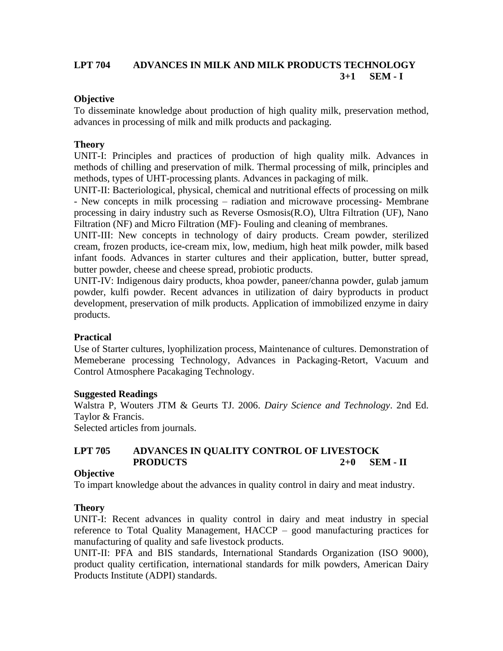### **LPT 704 ADVANCES IN MILK AND MILK PRODUCTS TECHNOLOGY 3+1 SEM - I**

### **Objective**

To disseminate knowledge about production of high quality milk, preservation method, advances in processing of milk and milk products and packaging.

### **Theory**

UNIT-I: Principles and practices of production of high quality milk. Advances in methods of chilling and preservation of milk. Thermal processing of milk, principles and methods, types of UHT-processing plants. Advances in packaging of milk.

UNIT-II: Bacteriological, physical, chemical and nutritional effects of processing on milk - New concepts in milk processing – radiation and microwave processing- Membrane processing in dairy industry such as Reverse Osmosis(R.O), Ultra Filtration (UF), Nano Filtration (NF) and Micro Filtration (MF)- Fouling and cleaning of membranes.

UNIT-III: New concepts in technology of dairy products. Cream powder, sterilized cream, frozen products, ice-cream mix, low, medium, high heat milk powder, milk based infant foods. Advances in starter cultures and their application, butter, butter spread, butter powder, cheese and cheese spread, probiotic products.

UNIT-IV: Indigenous dairy products, khoa powder, paneer/channa powder, gulab jamum powder, kulfi powder. Recent advances in utilization of dairy byproducts in product development, preservation of milk products. Application of immobilized enzyme in dairy products.

### **Practical**

Use of Starter cultures, lyophilization process, Maintenance of cultures. Demonstration of Memeberane processing Technology, Advances in Packaging-Retort, Vacuum and Control Atmosphere Pacakaging Technology.

#### **Suggested Readings**

Walstra P, Wouters JTM & Geurts TJ. 2006. *Dairy Science and Technology*. 2nd Ed. Taylor & Francis.

Selected articles from journals.

### **LPT 705 ADVANCES IN QUALITY CONTROL OF LIVESTOCK PRODUCTS 2+0 SEM - II**

#### **Objective**

To impart knowledge about the advances in quality control in dairy and meat industry.

#### **Theory**

UNIT-I: Recent advances in quality control in dairy and meat industry in special reference to Total Quality Management, HACCP – good manufacturing practices for manufacturing of quality and safe livestock products.

UNIT-II: PFA and BIS standards, International Standards Organization (ISO 9000), product quality certification, international standards for milk powders, American Dairy Products Institute (ADPI) standards.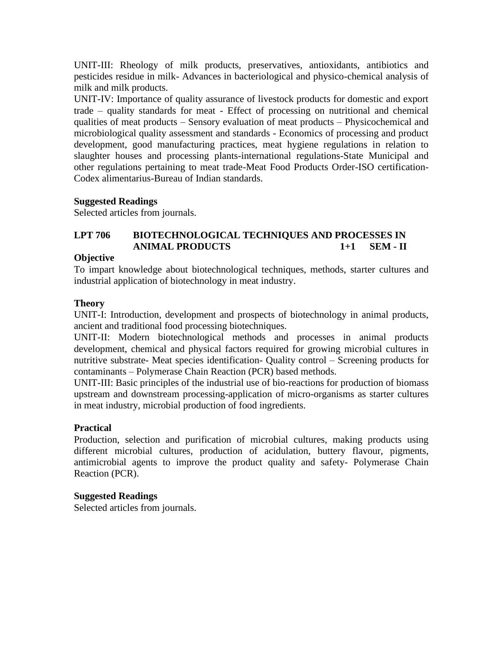UNIT-III: Rheology of milk products, preservatives, antioxidants, antibiotics and pesticides residue in milk- Advances in bacteriological and physico-chemical analysis of milk and milk products.

UNIT-IV: Importance of quality assurance of livestock products for domestic and export trade – quality standards for meat - Effect of processing on nutritional and chemical qualities of meat products – Sensory evaluation of meat products – Physicochemical and microbiological quality assessment and standards - Economics of processing and product development, good manufacturing practices, meat hygiene regulations in relation to slaughter houses and processing plants-international regulations-State Municipal and other regulations pertaining to meat trade-Meat Food Products Order-ISO certification-Codex alimentarius-Bureau of Indian standards.

### **Suggested Readings**

Selected articles from journals.

## **LPT 706 BIOTECHNOLOGICAL TECHNIQUES AND PROCESSES IN ANIMAL PRODUCTS 1+1 SEM - II**

### **Objective**

To impart knowledge about biotechnological techniques, methods, starter cultures and industrial application of biotechnology in meat industry.

### **Theory**

UNIT-I: Introduction, development and prospects of biotechnology in animal products, ancient and traditional food processing biotechniques.

UNIT-II: Modern biotechnological methods and processes in animal products development, chemical and physical factors required for growing microbial cultures in nutritive substrate- Meat species identification- Quality control – Screening products for contaminants – Polymerase Chain Reaction (PCR) based methods.

UNIT-III: Basic principles of the industrial use of bio-reactions for production of biomass upstream and downstream processing-application of micro-organisms as starter cultures in meat industry, microbial production of food ingredients.

### **Practical**

Production, selection and purification of microbial cultures, making products using different microbial cultures, production of acidulation, buttery flavour, pigments, antimicrobial agents to improve the product quality and safety- Polymerase Chain Reaction (PCR).

### **Suggested Readings**

Selected articles from journals.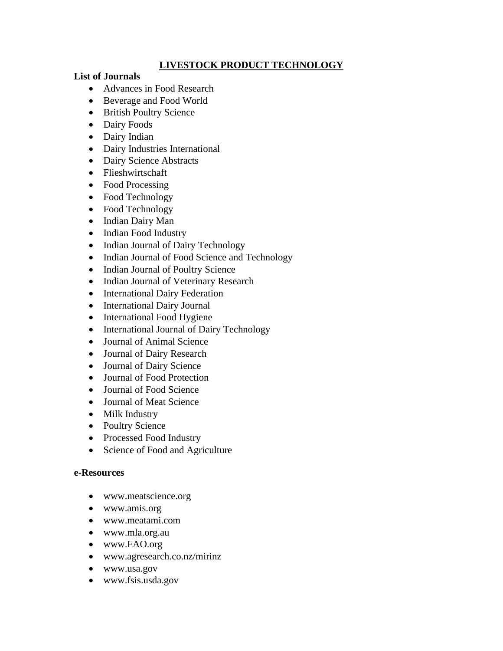# **LIVESTOCK PRODUCT TECHNOLOGY**

#### **List of Journals**

- Advances in Food Research
- Beverage and Food World
- British Poultry Science
- Dairy Foods
- Dairy Indian
- Dairy Industries International
- Dairy Science Abstracts
- Flieshwirtschaft
- Food Processing
- Food Technology
- Food Technology
- Indian Dairy Man
- Indian Food Industry
- Indian Journal of Dairy Technology
- Indian Journal of Food Science and Technology
- Indian Journal of Poultry Science
- Indian Journal of Veterinary Research
- International Dairy Federation
- International Dairy Journal
- International Food Hygiene
- International Journal of Dairy Technology
- Journal of Animal Science
- Journal of Dairy Research
- Journal of Dairy Science
- Journal of Food Protection
- Journal of Food Science
- Journal of Meat Science
- Milk Industry
- Poultry Science
- Processed Food Industry
- Science of Food and Agriculture

#### **e-Resources**

- www.meatscience.org
- www.amis.org
- www.meatami.com
- www.mla.org.au
- www.FAO.org
- www.agresearch.co.nz/mirinz
- www.usa.gov
- www.fsis.usda.gov